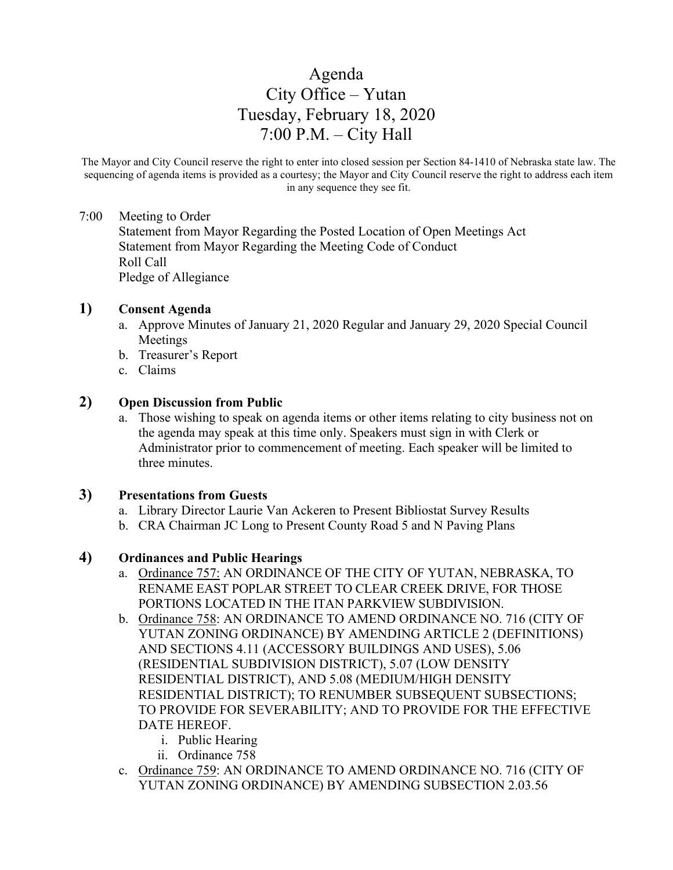# Agenda City Office – Yutan Tuesday, February 18, 2020 7:00 P.M. – City Hall

The Mayor and City Council reserve the right to enter into closed session per Section 84-1410 of Nebraska state law. The sequencing of agenda items is provided as a courtesy; the Mayor and City Council reserve the right to address each item in any sequence they see fit.

### 7:00 Meeting to Order

Statement from Mayor Regarding the Posted Location of Open Meetings Act Statement from Mayor Regarding the Meeting Code of Conduct Roll Call Pledge of Allegiance

### **1) Consent Agenda**

- a. Approve Minutes of January 21, 2020 Regular and January 29, 2020 Special Council Meetings
- b. Treasurer's Report
- c. Claims

### **2) Open Discussion from Public**

a. Those wishing to speak on agenda items or other items relating to city business not on the agenda may speak at this time only. Speakers must sign in with Clerk or Administrator prior to commencement of meeting. Each speaker will be limited to three minutes.

### **3) Presentations from Guests**

- a. Library Director Laurie Van Ackeren to Present Bibliostat Survey Results
- b. CRA Chairman JC Long to Present County Road 5 and N Paving Plans

### **4) Ordinances and Public Hearings**

- a. Ordinance 757: AN ORDINANCE OF THE CITY OF YUTAN, NEBRASKA, TO RENAME EAST POPLAR STREET TO CLEAR CREEK DRIVE, FOR THOSE PORTIONS LOCATED IN THE ITAN PARKVIEW SUBDIVISION.
- b. Ordinance 758: AN ORDINANCE TO AMEND ORDINANCE NO. 716 (CITY OF YUTAN ZONING ORDINANCE) BY AMENDING ARTICLE 2 (DEFINITIONS) AND SECTIONS 4.11 (ACCESSORY BUILDINGS AND USES), 5.06 (RESIDENTIAL SUBDIVISION DISTRICT), 5.07 (LOW DENSITY RESIDENTIAL DISTRICT), AND 5.08 (MEDIUM/HIGH DENSITY RESIDENTIAL DISTRICT); TO RENUMBER SUBSEQUENT SUBSECTIONS; TO PROVIDE FOR SEVERABILITY; AND TO PROVIDE FOR THE EFFECTIVE DATE HEREOF.
	- i. Public Hearing
	- ii. Ordinance 758
- c. Ordinance 759: AN ORDINANCE TO AMEND ORDINANCE NO. 716 (CITY OF YUTAN ZONING ORDINANCE) BY AMENDING SUBSECTION 2.03.56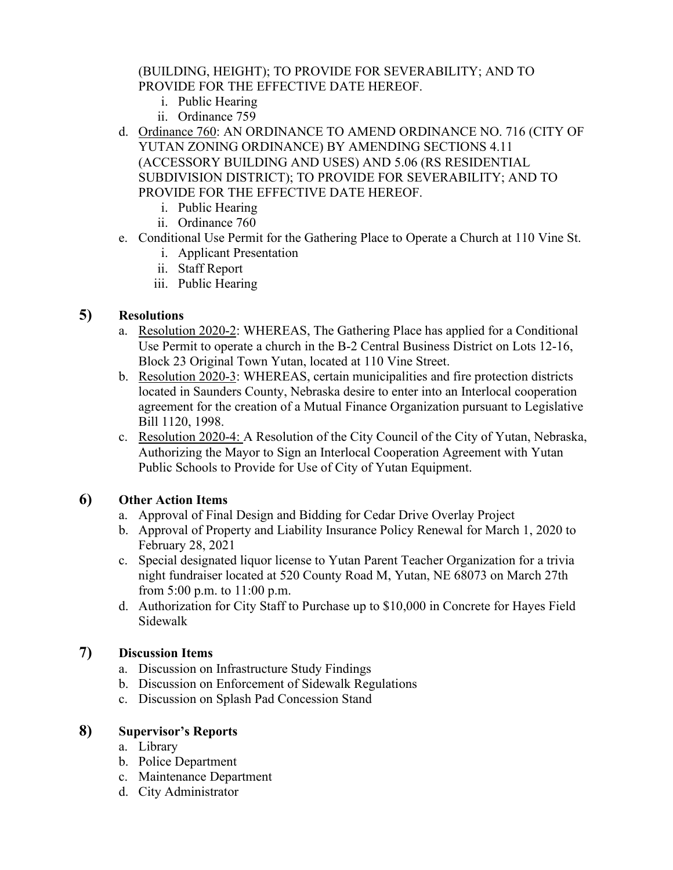(BUILDING, HEIGHT); TO PROVIDE FOR SEVERABILITY; AND TO PROVIDE FOR THE EFFECTIVE DATE HEREOF.

- i. Public Hearing
- ii. Ordinance 759
- d. Ordinance 760: AN ORDINANCE TO AMEND ORDINANCE NO. 716 (CITY OF YUTAN ZONING ORDINANCE) BY AMENDING SECTIONS 4.11 (ACCESSORY BUILDING AND USES) AND 5.06 (RS RESIDENTIAL SUBDIVISION DISTRICT); TO PROVIDE FOR SEVERABILITY; AND TO PROVIDE FOR THE EFFECTIVE DATE HEREOF.
	- i. Public Hearing
	- ii. Ordinance 760
- e. Conditional Use Permit for the Gathering Place to Operate a Church at 110 Vine St.
	- i. Applicant Presentation
	- ii. Staff Report
	- iii. Public Hearing

# **5) Resolutions**

- a. Resolution 2020-2: WHEREAS, The Gathering Place has applied for a Conditional Use Permit to operate a church in the B-2 Central Business District on Lots 12-16, Block 23 Original Town Yutan, located at 110 Vine Street.
- b. Resolution 2020-3: WHEREAS, certain municipalities and fire protection districts located in Saunders County, Nebraska desire to enter into an Interlocal cooperation agreement for the creation of a Mutual Finance Organization pursuant to Legislative Bill 1120, 1998.
- c. Resolution 2020-4: A Resolution of the City Council of the City of Yutan, Nebraska, Authorizing the Mayor to Sign an Interlocal Cooperation Agreement with Yutan Public Schools to Provide for Use of City of Yutan Equipment.

# **6) Other Action Items**

- a. Approval of Final Design and Bidding for Cedar Drive Overlay Project
- b. Approval of Property and Liability Insurance Policy Renewal for March 1, 2020 to February 28, 2021
- c. Special designated liquor license to Yutan Parent Teacher Organization for a trivia night fundraiser located at 520 County Road M, Yutan, NE 68073 on March 27th from 5:00 p.m. to 11:00 p.m.
- d. Authorization for City Staff to Purchase up to \$10,000 in Concrete for Hayes Field Sidewalk

## **7) Discussion Items**

- a. Discussion on Infrastructure Study Findings
- b. Discussion on Enforcement of Sidewalk Regulations
- c. Discussion on Splash Pad Concession Stand

# **8) Supervisor's Reports**

- a. Library
- b. Police Department
- c. Maintenance Department
- d. City Administrator